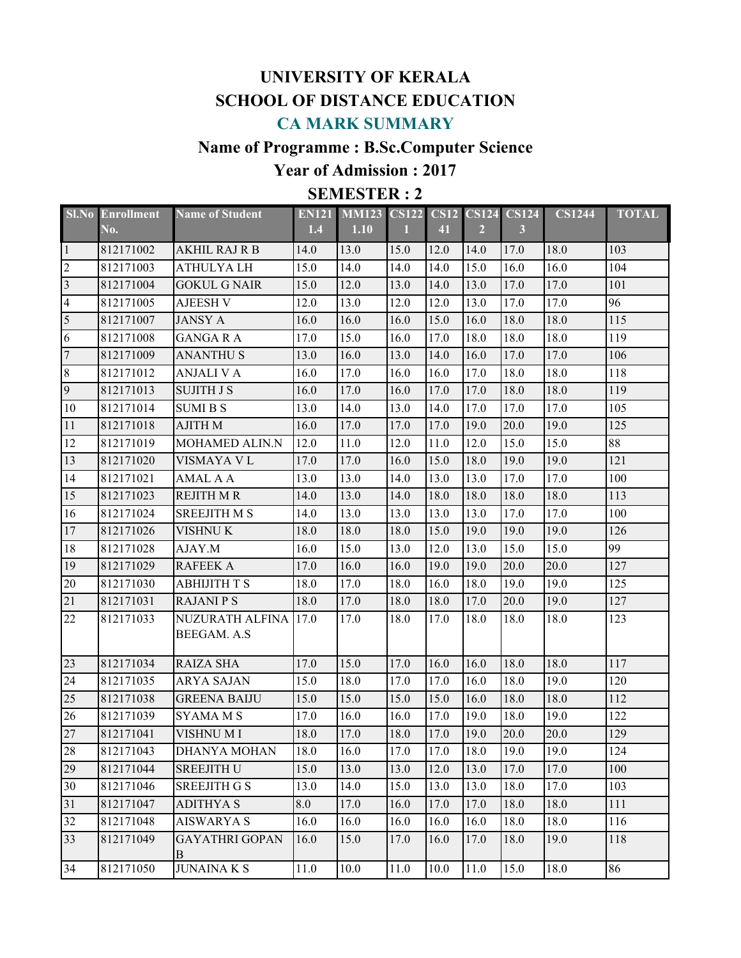# **UNIVERSITY OF KERALA SCHOOL OF DISTANCE EDUCATION CA MARK SUMMARY**

## **Name of Programme : B.Sc.Computer Science**

## **Year of Admission : 2017**

### **SEMESTER : 2**

|                | <b>SI.No Enrollment</b> | <b>Name of Student</b>     | <b>EN121</b> | <b>MM123</b> | <b>CS122</b> | <b>CS12</b> | <b>CS124</b>   | <b>CS124</b> | <b>CS1244</b> | <b>TOTAL</b> |
|----------------|-------------------------|----------------------------|--------------|--------------|--------------|-------------|----------------|--------------|---------------|--------------|
|                | No.                     |                            | 1.4          | 1.10         | н            | 41          | $\overline{2}$ | $\mathbf{3}$ |               |              |
| $\mathbf{1}$   | 812171002               | <b>AKHIL RAJ R B</b>       | 14.0         | 13.0         | 15.0         | 12.0        | 14.0           | 17.0         | 18.0          | 103          |
| $\overline{2}$ | 812171003               | <b>ATHULYALH</b>           | 15.0         | 14.0         | 14.0         | 14.0        | 15.0           | 16.0         | 16.0          | 104          |
| $\overline{3}$ | 812171004               | <b>GOKUL G NAIR</b>        | 15.0         | 12.0         | 13.0         | 14.0        | 13.0           | 17.0         | 17.0          | 101          |
| $\overline{4}$ | 812171005               | <b>AJEESH V</b>            | 12.0         | 13.0         | 12.0         | 12.0        | 13.0           | 17.0         | 17.0          | 96           |
| 5              | 812171007               | <b>JANSY A</b>             | 16.0         | 16.0         | 16.0         | 15.0        | 16.0           | 18.0         | 18.0          | 115          |
| 6              | 812171008               | <b>GANGARA</b>             | 17.0         | 15.0         | 16.0         | 17.0        | 18.0           | 18.0         | 18.0          | 119          |
| $\overline{7}$ | 812171009               | <b>ANANTHUS</b>            | 13.0         | 16.0         | 13.0         | 14.0        | 16.0           | 17.0         | 17.0          | 106          |
| $\,8\,$        | 812171012               | <b>ANJALI V A</b>          | 16.0         | 17.0         | 16.0         | 16.0        | 17.0           | 18.0         | 18.0          | 118          |
| 9              | 812171013               | <b>SUJITH J S</b>          | 16.0         | 17.0         | 16.0         | 17.0        | 17.0           | 18.0         | 18.0          | 119          |
| 10             | 812171014               | <b>SUMIBS</b>              | 13.0         | 14.0         | 13.0         | 14.0        | 17.0           | 17.0         | 17.0          | 105          |
| 11             | 812171018               | <b>AJITH M</b>             | 16.0         | 17.0         | 17.0         | 17.0        | 19.0           | 20.0         | 19.0          | 125          |
| 12             | 812171019               | MOHAMED ALIN.N             | 12.0         | 11.0         | 12.0         | 11.0        | 12.0           | 15.0         | 15.0          | 88           |
| 13             | 812171020               | VISMAYA V L                | 17.0         | 17.0         | 16.0         | 15.0        | 18.0           | 19.0         | 19.0          | 121          |
| 14             | 812171021               | AMAL A A                   | 13.0         | 13.0         | 14.0         | 13.0        | 13.0           | 17.0         | 17.0          | 100          |
| 15             | 812171023               | <b>REJITH M R</b>          | 14.0         | 13.0         | 14.0         | 18.0        | 18.0           | 18.0         | 18.0          | 113          |
| 16             | 812171024               | <b>SREEJITH M S</b>        | 14.0         | 13.0         | 13.0         | 13.0        | 13.0           | 17.0         | 17.0          | 100          |
| 17             | 812171026               | <b>VISHNUK</b>             | 18.0         | 18.0         | 18.0         | 15.0        | 19.0           | 19.0         | 19.0          | 126          |
| 18             | 812171028               | AJAY.M                     | 16.0         | 15.0         | 13.0         | 12.0        | 13.0           | 15.0         | 15.0          | 99           |
| 19             | 812171029               | <b>RAFEEK A</b>            | 17.0         | 16.0         | 16.0         | 19.0        | 19.0           | 20.0         | 20.0          | 127          |
| 20             | 812171030               | <b>ABHIJITH T S</b>        | 18.0         | 17.0         | 18.0         | 16.0        | 18.0           | 19.0         | 19.0          | 125          |
| 21             | 812171031               | <b>RAJANIPS</b>            | 18.0         | 17.0         | 18.0         | 18.0        | 17.0           | 20.0         | 19.0          | 127          |
| 22             | 812171033               | NUZURATH ALFINA            | 17.0         | 17.0         | 18.0         | 17.0        | 18.0           | 18.0         | 18.0          | 123          |
|                |                         | BEEGAM. A.S                |              |              |              |             |                |              |               |              |
| 23             | 812171034               | <b>RAIZA SHA</b>           | 17.0         | 15.0         | 17.0         | 16.0        | 16.0           | 18.0         | 18.0          | 117          |
| 24             | 812171035               | <b>ARYA SAJAN</b>          | 15.0         | 18.0         | 17.0         | 17.0        | 16.0           | 18.0         | 19.0          | 120          |
| 25             | 812171038               | <b>GREENA BAIJU</b>        | 15.0         | 15.0         | 15.0         | 15.0        | 16.0           | 18.0         | 18.0          | 112          |
| 26             | 812171039               | <b>SYAMA M S</b>           | 17.0         | 16.0         | 16.0         | 17.0        | 19.0           | 18.0         | 19.0          | 122          |
| 27             | 812171041               | VISHNU M I                 | 18.0         | 17.0         | 18.0         | 17.0        | 19.0           | 20.0         | 20.0          | 129          |
| 28             | 812171043               | <b>DHANYA MOHAN</b>        | 18.0         | 16.0         | 17.0         | 17.0        | 18.0           | 19.0         | 19.0          | 124          |
| 29             | 812171044               | <b>SREEJITH U</b>          | 15.0         | 13.0         | 13.0         | 12.0        | 13.0           | 17.0         | 17.0          | 100          |
| 30             | 812171046               | <b>SREEJITH G S</b>        | 13.0         | 14.0         | 15.0         | 13.0        | 13.0           | 18.0         | 17.0          | 103          |
| 31             | 812171047               | <b>ADITHYAS</b>            | 8.0          | 17.0         | 16.0         | 17.0        | 17.0           | 18.0         | 18.0          | 111          |
| 32             | 812171048               | <b>AISWARYA S</b>          | 16.0         | 16.0         | 16.0         | 16.0        | 16.0           | 18.0         | 18.0          | 116          |
| 33             | 812171049               | <b>GAYATHRI GOPAN</b><br>B | 16.0         | 15.0         | 17.0         | 16.0        | 17.0           | 18.0         | 19.0          | 118          |
| 34             | 812171050               | <b>JUNAINA K S</b>         | 11.0         | 10.0         | 11.0         | 10.0        | 11.0           | 15.0         | 18.0          | 86           |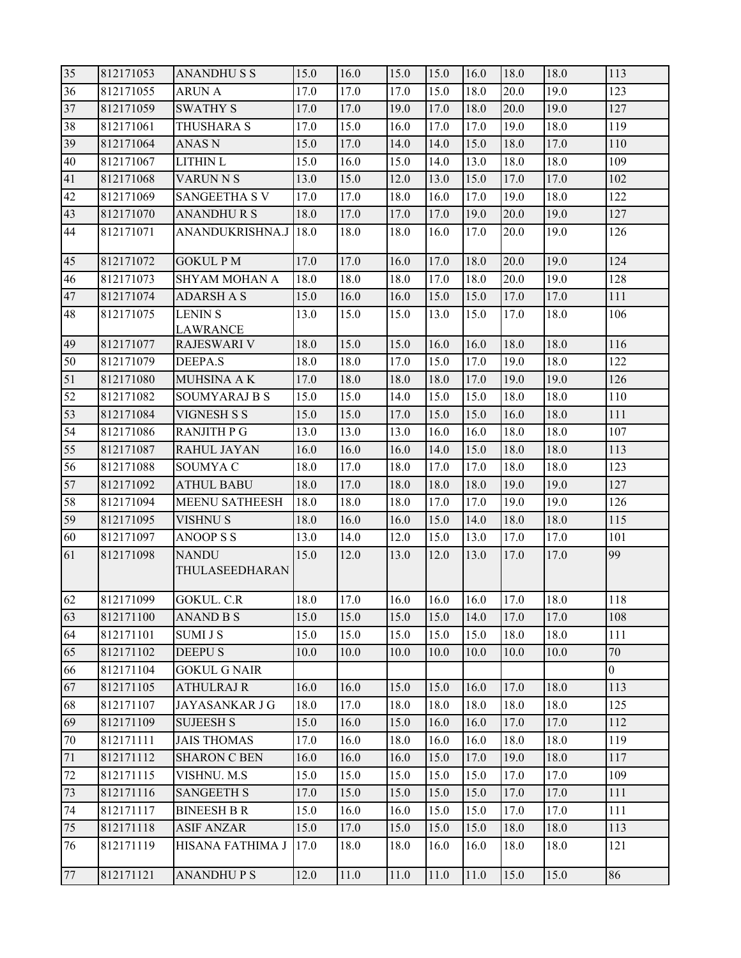| 35 | 812171053 | <b>ANANDHUSS</b>                  | 15.0 | 16.0 | 15.0 | 15.0 | 16.0 | 18.0 | 18.0 | 113            |
|----|-----------|-----------------------------------|------|------|------|------|------|------|------|----------------|
| 36 | 812171055 | <b>ARUN A</b>                     | 17.0 | 17.0 | 17.0 | 15.0 | 18.0 | 20.0 | 19.0 | 123            |
| 37 | 812171059 | <b>SWATHY S</b>                   | 17.0 | 17.0 | 19.0 | 17.0 | 18.0 | 20.0 | 19.0 | 127            |
| 38 | 812171061 | THUSHARA S                        | 17.0 | 15.0 | 16.0 | 17.0 | 17.0 | 19.0 | 18.0 | 119            |
| 39 | 812171064 | <b>ANAS N</b>                     | 15.0 | 17.0 | 14.0 | 14.0 | 15.0 | 18.0 | 17.0 | 110            |
| 40 | 812171067 | <b>LITHIN L</b>                   | 15.0 | 16.0 | 15.0 | 14.0 | 13.0 | 18.0 | 18.0 | 109            |
| 41 | 812171068 | <b>VARUN N S</b>                  | 13.0 | 15.0 | 12.0 | 13.0 | 15.0 | 17.0 | 17.0 | 102            |
| 42 | 812171069 | <b>SANGEETHA S V</b>              | 17.0 | 17.0 | 18.0 | 16.0 | 17.0 | 19.0 | 18.0 | 122            |
| 43 | 812171070 | <b>ANANDHURS</b>                  | 18.0 | 17.0 | 17.0 | 17.0 | 19.0 | 20.0 | 19.0 | 127            |
| 44 | 812171071 | ANANDUKRISHNA.J                   | 18.0 | 18.0 | 18.0 | 16.0 | 17.0 | 20.0 | 19.0 | 126            |
| 45 | 812171072 | <b>GOKUL PM</b>                   | 17.0 | 17.0 | 16.0 | 17.0 | 18.0 | 20.0 | 19.0 | 124            |
| 46 | 812171073 | SHYAM MOHAN A                     | 18.0 | 18.0 | 18.0 | 17.0 | 18.0 | 20.0 | 19.0 | 128            |
| 47 | 812171074 | <b>ADARSH A S</b>                 | 15.0 | 16.0 | 16.0 | 15.0 | 15.0 | 17.0 | 17.0 | 111            |
| 48 | 812171075 | <b>LENIN S</b><br><b>LAWRANCE</b> | 13.0 | 15.0 | 15.0 | 13.0 | 15.0 | 17.0 | 18.0 | 106            |
| 49 | 812171077 | <b>RAJESWARI V</b>                | 18.0 | 15.0 | 15.0 | 16.0 | 16.0 | 18.0 | 18.0 | 116            |
| 50 | 812171079 | <b>DEEPA.S</b>                    | 18.0 | 18.0 | 17.0 | 15.0 | 17.0 | 19.0 | 18.0 | 122            |
| 51 | 812171080 | MUHSINA A K                       | 17.0 | 18.0 | 18.0 | 18.0 | 17.0 | 19.0 | 19.0 | 126            |
| 52 | 812171082 | <b>SOUMYARAJ B S</b>              | 15.0 | 15.0 | 14.0 | 15.0 | 15.0 | 18.0 | 18.0 | 110            |
| 53 | 812171084 | <b>VIGNESH S S</b>                | 15.0 | 15.0 | 17.0 | 15.0 | 15.0 | 16.0 | 18.0 | 111            |
| 54 | 812171086 | <b>RANJITH P G</b>                | 13.0 | 13.0 | 13.0 | 16.0 | 16.0 | 18.0 | 18.0 | 107            |
| 55 | 812171087 | RAHUL JAYAN                       | 16.0 | 16.0 | 16.0 | 14.0 | 15.0 | 18.0 | 18.0 | 113            |
| 56 | 812171088 | <b>SOUMYA C</b>                   | 18.0 | 17.0 | 18.0 | 17.0 | 17.0 | 18.0 | 18.0 | 123            |
| 57 | 812171092 | <b>ATHUL BABU</b>                 | 18.0 | 17.0 | 18.0 | 18.0 | 18.0 | 19.0 | 19.0 | 127            |
| 58 | 812171094 | <b>MEENU SATHEESH</b>             | 18.0 | 18.0 | 18.0 | 17.0 | 17.0 | 19.0 | 19.0 | 126            |
| 59 | 812171095 | <b>VISHNU S</b>                   | 18.0 | 16.0 | 16.0 | 15.0 | 14.0 | 18.0 | 18.0 | 115            |
| 60 | 812171097 | <b>ANOOPSS</b>                    | 13.0 | 14.0 | 12.0 | 15.0 | 13.0 | 17.0 | 17.0 | 101            |
| 61 | 812171098 | <b>NANDU</b><br>THULASEEDHARAN    | 15.0 | 12.0 | 13.0 | 12.0 | 13.0 | 17.0 | 17.0 | 99             |
| 62 | 812171099 | <b>GOKUL. C.R</b>                 | 18.0 | 17.0 | 16.0 | 16.0 | 16.0 | 17.0 | 18.0 | 118            |
| 63 | 812171100 | <b>ANAND B S</b>                  | 15.0 | 15.0 | 15.0 | 15.0 | 14.0 | 17.0 | 17.0 | 108            |
| 64 | 812171101 | <b>SUMI J S</b>                   | 15.0 | 15.0 | 15.0 | 15.0 | 15.0 | 18.0 | 18.0 | 111            |
| 65 | 812171102 | <b>DEEPUS</b>                     | 10.0 | 10.0 | 10.0 | 10.0 | 10.0 | 10.0 | 10.0 | 70             |
| 66 | 812171104 | <b>GOKUL G NAIR</b>               |      |      |      |      |      |      |      | $\overline{0}$ |
| 67 | 812171105 | <b>ATHULRAJ R</b>                 | 16.0 | 16.0 | 15.0 | 15.0 | 16.0 | 17.0 | 18.0 | 113            |
| 68 | 812171107 | <b>JAYASANKAR J G</b>             | 18.0 | 17.0 | 18.0 | 18.0 | 18.0 | 18.0 | 18.0 | 125            |
| 69 | 812171109 | <b>SUJEESH S</b>                  | 15.0 | 16.0 | 15.0 | 16.0 | 16.0 | 17.0 | 17.0 | 112            |
| 70 | 812171111 | <b>JAIS THOMAS</b>                | 17.0 | 16.0 | 18.0 | 16.0 | 16.0 | 18.0 | 18.0 | 119            |
| 71 | 812171112 | <b>SHARON C BEN</b>               | 16.0 | 16.0 | 16.0 | 15.0 | 17.0 | 19.0 | 18.0 | 117            |
| 72 | 812171115 | VISHNU. M.S                       | 15.0 | 15.0 | 15.0 | 15.0 | 15.0 | 17.0 | 17.0 | 109            |
| 73 | 812171116 | <b>SANGEETH S</b>                 | 17.0 | 15.0 | 15.0 | 15.0 | 15.0 | 17.0 | 17.0 | 111            |
| 74 | 812171117 | <b>BINEESH B R</b>                | 15.0 | 16.0 | 16.0 | 15.0 | 15.0 | 17.0 | 17.0 | 111            |
| 75 | 812171118 | <b>ASIF ANZAR</b>                 | 15.0 | 17.0 | 15.0 | 15.0 | 15.0 | 18.0 | 18.0 | 113            |
| 76 | 812171119 | HISANA FATHIMA J                  | 17.0 | 18.0 | 18.0 | 16.0 | 16.0 | 18.0 | 18.0 | 121            |
| 77 | 812171121 | <b>ANANDHUPS</b>                  | 12.0 | 11.0 | 11.0 | 11.0 | 11.0 | 15.0 | 15.0 | 86             |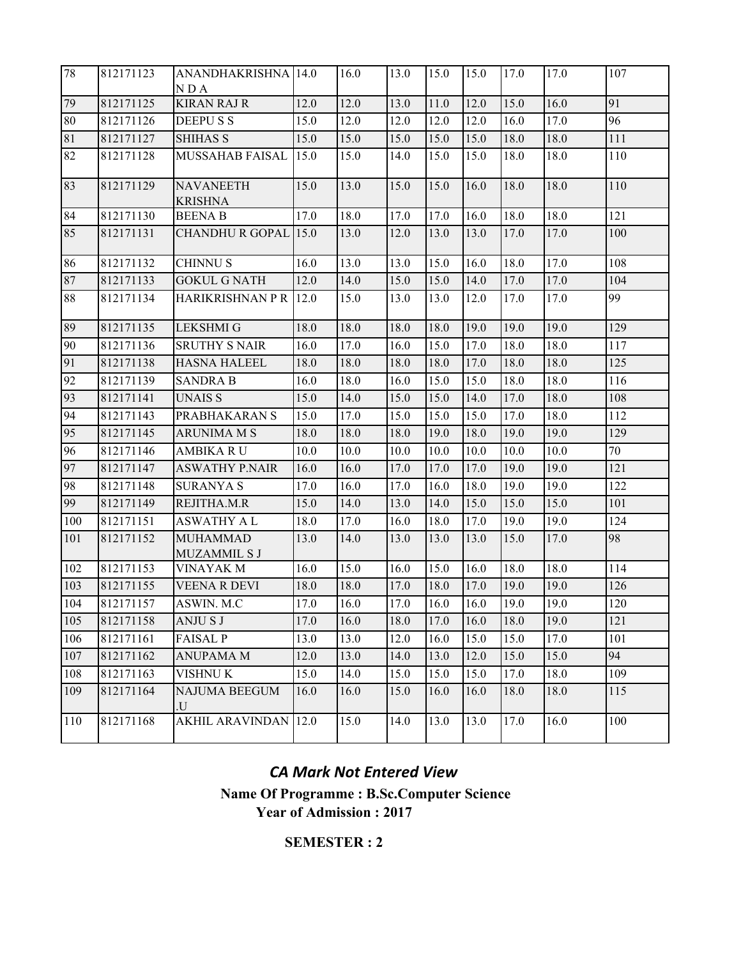| 78              | 812171123 | ANANDHAKRISHNA 14.0<br>NDA         |          | 16.0 | 13.0 | 15.0 | 15.0 | 17.0 | 17.0 | 107 |
|-----------------|-----------|------------------------------------|----------|------|------|------|------|------|------|-----|
| 79              | 812171125 | <b>KIRAN RAJ R</b>                 | 12.0     | 12.0 | 13.0 | 11.0 | 12.0 | 15.0 | 16.0 | 91  |
| 80              | 812171126 | <b>DEEPUSS</b>                     | 15.0     | 12.0 | 12.0 | 12.0 | 12.0 | 16.0 | 17.0 | 96  |
| 81              | 812171127 | <b>SHIHAS S</b>                    | 15.0     | 15.0 | 15.0 | 15.0 | 15.0 | 18.0 | 18.0 | 111 |
| $\overline{82}$ | 812171128 | MUSSAHAB FAISAL                    | 15.0     | 15.0 | 14.0 | 15.0 | 15.0 | 18.0 | 18.0 | 110 |
| 83              | 812171129 | <b>NAVANEETH</b><br><b>KRISHNA</b> | 15.0     | 13.0 | 15.0 | 15.0 | 16.0 | 18.0 | 18.0 | 110 |
| 84              | 812171130 | <b>BEENA B</b>                     | 17.0     | 18.0 | 17.0 | 17.0 | 16.0 | 18.0 | 18.0 | 121 |
| 85              | 812171131 | <b>CHANDHU R GOPAL</b>             | 15.0     | 13.0 | 12.0 | 13.0 | 13.0 | 17.0 | 17.0 | 100 |
| 86              | 812171132 | <b>CHINNUS</b>                     | 16.0     | 13.0 | 13.0 | 15.0 | 16.0 | 18.0 | 17.0 | 108 |
| 87              | 812171133 | <b>GOKUL G NATH</b>                | 12.0     | 14.0 | 15.0 | 15.0 | 14.0 | 17.0 | 17.0 | 104 |
| 88              | 812171134 | <b>HARIKRISHNAN P R</b>            | 12.0     | 15.0 | 13.0 | 13.0 | 12.0 | 17.0 | 17.0 | 99  |
| 89              | 812171135 | <b>LEKSHMI G</b>                   | 18.0     | 18.0 | 18.0 | 18.0 | 19.0 | 19.0 | 19.0 | 129 |
| 90              | 812171136 | <b>SRUTHY S NAIR</b>               | 16.0     | 17.0 | 16.0 | 15.0 | 17.0 | 18.0 | 18.0 | 117 |
| 91              | 812171138 | <b>HASNA HALEEL</b>                | 18.0     | 18.0 | 18.0 | 18.0 | 17.0 | 18.0 | 18.0 | 125 |
| 92              | 812171139 | <b>SANDRA B</b>                    | 16.0     | 18.0 | 16.0 | 15.0 | 15.0 | 18.0 | 18.0 | 116 |
| 93              | 812171141 | <b>UNAISS</b>                      | 15.0     | 14.0 | 15.0 | 15.0 | 14.0 | 17.0 | 18.0 | 108 |
| 94              | 812171143 | PRABHAKARAN S                      | 15.0     | 17.0 | 15.0 | 15.0 | 15.0 | 17.0 | 18.0 | 112 |
| 95              | 812171145 | <b>ARUNIMA M S</b>                 | 18.0     | 18.0 | 18.0 | 19.0 | 18.0 | 19.0 | 19.0 | 129 |
| 96              | 812171146 | <b>AMBIKA RU</b>                   | 10.0     | 10.0 | 10.0 | 10.0 | 10.0 | 10.0 | 10.0 | 70  |
| 97              | 812171147 | <b>ASWATHY P.NAIR</b>              | 16.0     | 16.0 | 17.0 | 17.0 | 17.0 | 19.0 | 19.0 | 121 |
| 98              | 812171148 | <b>SURANYA S</b>                   | 17.0     | 16.0 | 17.0 | 16.0 | 18.0 | 19.0 | 19.0 | 122 |
| 99              | 812171149 | REJITHA.M.R                        | 15.0     | 14.0 | 13.0 | 14.0 | 15.0 | 15.0 | 15.0 | 101 |
| 100             | 812171151 | <b>ASWATHY A L</b>                 | 18.0     | 17.0 | 16.0 | 18.0 | 17.0 | 19.0 | 19.0 | 124 |
| 101             | 812171152 | <b>MUHAMMAD</b><br>MUZAMMIL S J    | 13.0     | 14.0 | 13.0 | 13.0 | 13.0 | 15.0 | 17.0 | 98  |
| 102             | 812171153 | <b>VINAYAK M</b>                   | 16.0     | 15.0 | 16.0 | 15.0 | 16.0 | 18.0 | 18.0 | 114 |
| 103             | 812171155 | <b>VEENA R DEVI</b>                | 18.0     | 18.0 | 17.0 | 18.0 | 17.0 | 19.0 | 19.0 | 126 |
| 104             | 812171157 | ASWIN. M.C                         | $17.0\,$ | 16.0 | 17.0 | 16.0 | 16.0 | 19.0 | 19.0 | 120 |
| 105             | 812171158 | ANJU S J                           | 17.0     | 16.0 | 18.0 | 17.0 | 16.0 | 18.0 | 19.0 | 121 |
| 106             | 812171161 | <b>FAISAL P</b>                    | 13.0     | 13.0 | 12.0 | 16.0 | 15.0 | 15.0 | 17.0 | 101 |
| 107             | 812171162 | <b>ANUPAMA M</b>                   | 12.0     | 13.0 | 14.0 | 13.0 | 12.0 | 15.0 | 15.0 | 94  |
| 108             | 812171163 | VISHNU K                           | 15.0     | 14.0 | 15.0 | 15.0 | 15.0 | 17.0 | 18.0 | 109 |
| 109             | 812171164 | NAJUMA BEEGUM<br>U.                | 16.0     | 16.0 | 15.0 | 16.0 | 16.0 | 18.0 | 18.0 | 115 |
| 110             | 812171168 | <b>AKHIL ARAVINDAN</b>             | 12.0     | 15.0 | 14.0 | 13.0 | 13.0 | 17.0 | 16.0 | 100 |

**Year of Admission : 2017** *CA Mark Not Entered View* **Name Of Programme : B.Sc.Computer Science**

**SEMESTER : 2**